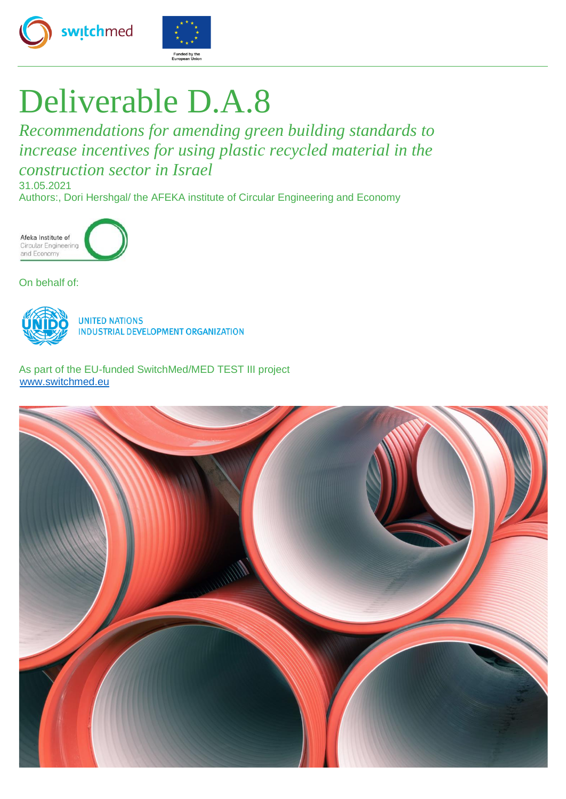



# Deliverable D.A.8

*Recommendations for amending green building standards to increase incentives for using plastic recycled material in the construction sector in Israel* 31.05.2021

Authors:, Dori Hershgal/ the AFEKA institute of Circular Engineering and Economy



On behalf of:



**UNITED NATIONS INDUSTRIAL DEVELOPMENT ORGANIZATION** 

As part of the EU-funded SwitchMed/MED TEST III project [www.switchmed.eu](http://www.switchmed.eu/)

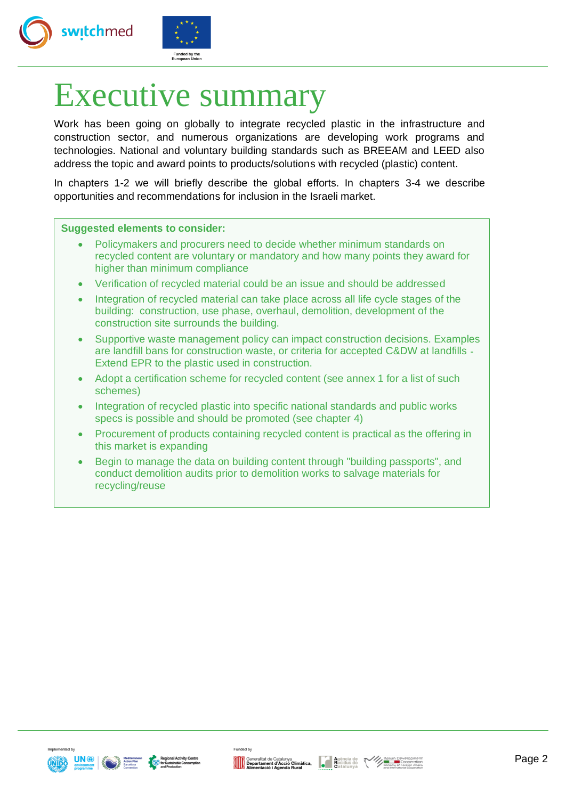



# Executive summary

Work has been going on globally to integrate recycled plastic in the infrastructure and construction sector, and numerous organizations are developing work programs and technologies. National and voluntary building standards such as BREEAM and LEED also address the topic and award points to products/solutions with recycled (plastic) content.

In chapters 1-2 we will briefly describe the global efforts. In chapters 3-4 we describe opportunities and recommendations for inclusion in the Israeli market.

#### **Suggested elements to consider:**

- Policymakers and procurers need to decide whether minimum standards on recycled content are voluntary or mandatory and how many points they award for higher than minimum compliance
- Verification of recycled material could be an issue and should be addressed
- Integration of recycled material can take place across all life cycle stages of the building: construction, use phase, overhaul, demolition, development of the construction site surrounds the building.
- Supportive waste management policy can impact construction decisions. Examples are landfill bans for construction waste, or criteria for accepted C&DW at landfills - Extend EPR to the plastic used in construction.
- Adopt a certification scheme for recycled content (see annex 1 for a list of such schemes)
- Integration of recycled plastic into specific national standards and public works specs is possible and should be promoted (see chapter 4)
- Procurement of products containing recycled content is practical as the offering in this market is expanding
- Begin to manage the data on building content through "building passports", and conduct demolition audits prior to demolition works to salvage materials for recycling/reuse





Generalitat de Catalunya<br> **Agència de Macció Cimàtica, de l'Agència de Macció de Alimentació i Acció Cimàtica**<br>
Catalunya Catalunya

Funded by



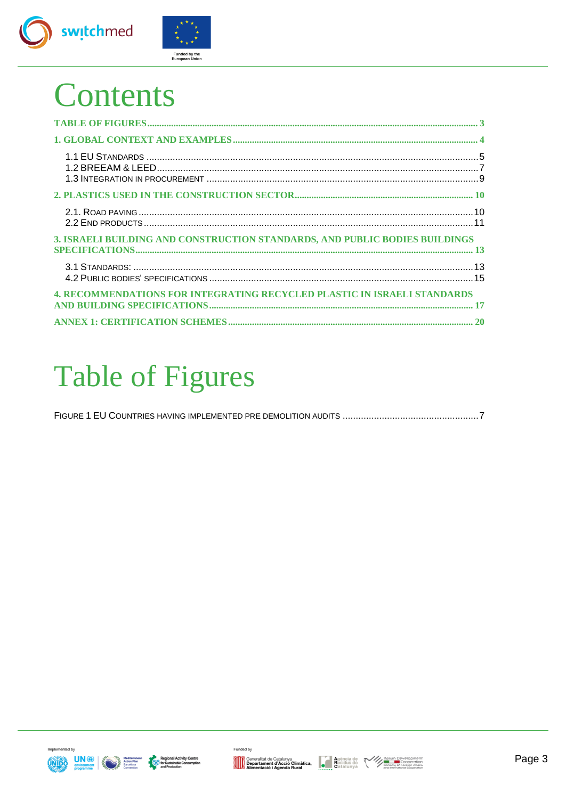



# **Contents**

| 3. ISRAELI BUILDING AND CONSTRUCTION STANDARDS, AND PUBLIC BODIES BUILDINGS     |  |
|---------------------------------------------------------------------------------|--|
|                                                                                 |  |
| <b>4. RECOMMENDATIONS FOR INTEGRATING RECYCLED PLASTIC IN ISRAELI STANDARDS</b> |  |
|                                                                                 |  |

# <span id="page-2-0"></span>**Table of Figures**







Funded by



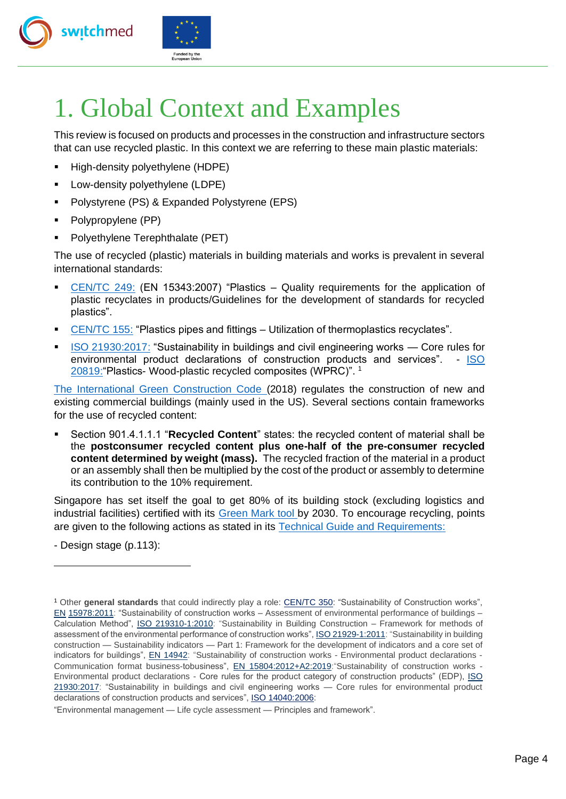



# <span id="page-3-0"></span>1. Global Context and Examples

This review is focused on products and processes in the construction and infrastructure sectors that can use recycled plastic. In this context we are referring to these main plastic materials:

- High-density polyethylene (HDPE)
- Low-density polyethylene (LDPE)
- Polystyrene (PS) & Expanded Polystyrene (EPS)
- Polypropylene (PP)
- Polyethylene Terephthalate (PET)

The use of recycled (plastic) materials in building materials and works is prevalent in several international standards:

- $CEN/TC$  249: (EN 15343:2007) "Plastics  $-$  Quality requirements for the application of plastic recyclates in products/Guidelines for the development of standards for recycled plastics".
- [CEN/TC 155:](https://standards.cen.eu/dyn/www/f?p=204:110:0::::FSP_PROJECT,FSP_ORG_ID:72729,6137&cs=19F48C6EF167E39A23B85C1CDCF67F781) "Plastics pipes and fittings Utilization of thermoplastics recyclates".
- [ISO 21930:2017:](https://www.iso.org/standard/61694.html) "Sustainability in buildings and civil engineering works Core rules for environmental product declarations of construction products and services". - [ISO](https://www.iso.org/standard/77445.html)  [20819:"](https://www.iso.org/standard/77445.html)Plastics- Wood-plastic recycled composites (WPRC)". <sup>1</sup>

[The International Green Construction Code](https://www.ashrae.org/File%20Library/Technical%20Resources/Bookstore/2018-IgCC_preview_1102.pdf) (2018) regulates the construction of new and existing commercial buildings (mainly used in the US). Several sections contain frameworks for the use of recycled content:

▪ Section 901.4.1.1.1 "**Recycled Content**" states: the recycled content of material shall be the **postconsumer recycled content plus one-half of the pre-consumer recycled content determined by weight (mass).** The recycled fraction of the material in a product or an assembly shall then be multiplied by the cost of the product or assembly to determine its contribution to the 10% requirement.

Singapore has set itself the goal to get 80% of its building stock (excluding logistics and industrial facilities) certified with its [Green Mark tool](https://www1.bca.gov.sg/buildsg/sustainability/green-mark-certification-scheme) by 2030. To encourage recycling, points are given to the following actions as stated in its [Technical Guide and Requirements:](https://www1.bca.gov.sg/docs/default-source/docs-corp-buildsg/sustainability/gm-rb-2016-technical-guide-_rev010120.pdf?sfvrsn=c6fb9fe_2)

- Design stage (p.113):

<sup>1</sup> Other **general standards** that could indirectly play a role: [CEN/TC 350:](https://standards.cen.eu/dyn/www/f?p=204:7:0::::FSP_ORG_ID:481830&cs=181BD0E0E925FA84EC4B8BCCC284577F8) "Sustainability of Construction works", [EN](https://www.nen.nl/en/nen-en-15978-2011-en-165395) [15978:2011:](https://www.nen.nl/en/nen-en-15978-2011-en-165395) "Sustainability of construction works – Assessment of environmental performance of buildings – Calculation Method", [ISO 219310-1:2010:](https://www.iso.org/standard/45559.html) "Sustainability in Building Construction – Framework for methods of assessment of the environmental performance of construction works"[, ISO 21929-1:2011:](https://www.iso.org/standard/46599.html) "Sustainability in building construction — Sustainability indicators — Part 1: Framework for the development of indicators and a core set of indicators for buildings", [EN 14942:](https://www.nen.nl/en/nen-en-15942-2011-en-164100) "Sustainability of construction works - Environmental product declarations -Communication format business-tobusiness[", EN 15804:2012+A2:2019:"](https://www.nen.nl/en/nen-en-15804-2012-a2-2019-en-265036)Sustainability of construction works - Environmental product declarations - Core rules for the product category of construction products" (EDP[\), ISO](https://www.iso.org/standard/61694.html)  [21930:2017:](https://www.iso.org/standard/61694.html) "Sustainability in buildings and civil engineering works — Core rules for environmental product declarations of construction products and services", [ISO 14040:2](https://www.iso.org/standard/37456.html)006:

<sup>&</sup>quot;Environmental management — Life cycle assessment — Principles and framework".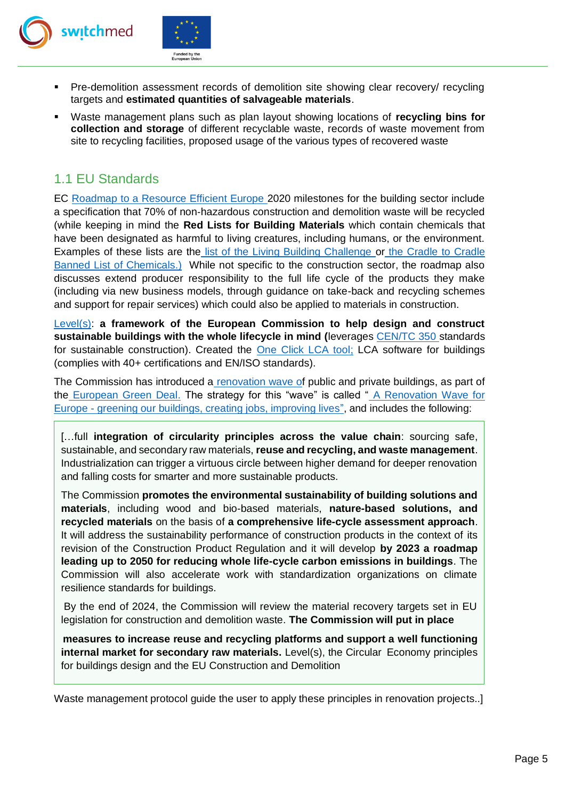



- Pre-demolition assessment records of demolition site showing clear recovery/ recycling targets and **estimated quantities of salvageable materials**.
- Waste management plans such as plan layout showing locations of **recycling bins for collection and storage** of different recyclable waste, records of waste movement from site to recycling facilities, proposed usage of the various types of recovered waste

# <span id="page-4-0"></span>1.1 EU Standards

EC [Roadmap to a Resource Efficient Europe](https://eur-lex.europa.eu/LexUriServ/LexUriServ.do?uri=COM:2011:0571:FIN:EN:PDF) 2020 milestones for the building sector include a specification that 70% of non‐hazardous construction and demolition waste will be recycled (while keeping in mind the **Red Lists for Building Materials** which contain chemicals that have been designated as harmful to living creatures, including humans, or the environment. Examples of these lists are the [list of the Living Building Challenge](https://living-future.org/declare/declare-about/red-list/) [o](https://living-future.org/declare/declare-about/red-list/)[r](https://www.c2ccertified.org/resources/detail/cradle-to-cradle-certified-banned-list-of-chemicals) [the Cradle to Cradle](https://www.c2ccertified.org/resources/detail/cradle-to-cradle-certified-banned-list-of-chemicals)  [Banned List of Chemicals.\)](https://www.c2ccertified.org/resources/detail/cradle-to-cradle-certified-banned-list-of-chemicals) While not specific to the construction sector, the roadmap also discusses extend producer responsibility to the full life cycle of the products they make (including via new business models, through guidance on take-back and recycling schemes and support for repair services) which could also be applied to materials in construction.

[Level\(s\):](https://ec.europa.eu/environment/topics/circular-economy/levels_en) **a framework of the European Commission to help design and construct sustainable buildings with the whole lifecycle in mind (**leverages [CEN/TC 350](https://standards.cen.eu/dyn/www/f?p=204:7:0::::FSP_ORG_ID:481830&cs=181BD0E0E925FA84EC4B8BCCC284577F8) standards for sustainable construction). Created the [One Click LCA tool;](https://www.oneclicklca.com/levels-tool/) LCA software for buildings (complies with 40+ certifications and EN/ISO standards).

The Commission has introduced [a](https://ec.europa.eu/energy/topics/energy-efficiency/energy-efficient-buildings/renovation-wave_en) [renovation wave](https://ec.europa.eu/energy/topics/energy-efficiency/energy-efficient-buildings/renovation-wave_en) [of](https://ec.europa.eu/energy/topics/energy-efficiency/energy-efficient-buildings/renovation-wave_en) public and private buildings, as part of the [European Green Deal.](https://ec.europa.eu/info/strategy/priorities-2019-2024/european-green-deal_en) The strategy for this "wave" is called ["](https://eur-lex.europa.eu/legal-content/EN/TXT/?qid=1603122220757&uri=CELEX:52020DC0662) [A Renovation Wave for](https://eur-lex.europa.eu/legal-content/EN/TXT/?qid=1603122220757&uri=CELEX:52020DC0662)  [Europe -](https://eur-lex.europa.eu/legal-content/EN/TXT/?qid=1603122220757&uri=CELEX:52020DC0662) [greening our buildings, creating jobs, improving lives",](https://eur-lex.europa.eu/legal-content/EN/TXT/?qid=1603122220757&uri=CELEX:52020DC0662) and includes the following:

[…full **integration of circularity principles across the value chain**: sourcing safe, sustainable, and secondary raw materials, **reuse and recycling, and waste management**. Industrialization can trigger a virtuous circle between higher demand for deeper renovation and falling costs for smarter and more sustainable products.

The Commission **promotes the environmental sustainability of building solutions and materials**, including wood and bio-based materials, **nature-based solutions, and recycled materials** on the basis of **a comprehensive life-cycle assessment approach**. It will address the sustainability performance of construction products in the context of its revision of the Construction Product Regulation and it will develop **by 2023 a roadmap leading up to 2050 for reducing whole life-cycle carbon emissions in buildings**. The Commission will also accelerate work with standardization organizations on climate resilience standards for buildings.

By the end of 2024, the Commission will review the material recovery targets set in EU legislation for construction and demolition waste. **The Commission will put in place** 

**measures to increase reuse and recycling platforms and support a well functioning internal market for secondary raw materials.** Level(s), the Circular Economy principles for buildings design and the EU Construction and Demolition

Waste management protocol guide the user to apply these principles in renovation projects..]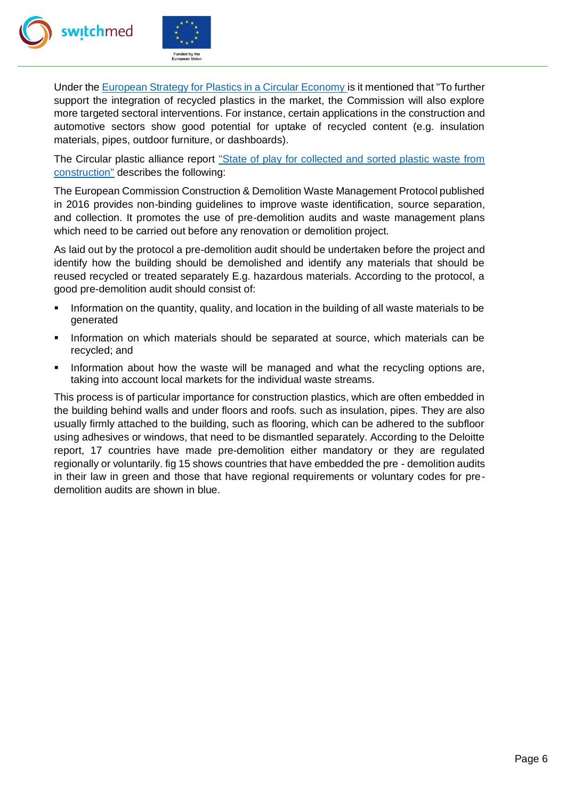



Under the [European Strategy for Plastics in a Circular Economy](https://eur-lex.europa.eu/legal-content/EN/TXT/?qid=1516265440535&uri=COM:2018:28:FIN#footnote33) [i](https://eur-lex.europa.eu/legal-content/EN/TXT/?qid=1516265440535&uri=COM:2018:28:FIN#footnote33)s it mentioned that "To further support the integration of recycled plastics in the market, the Commission will also explore more targeted sectoral interventions. For instance, certain applications in the construction and automotive sectors show good potential for uptake of recycled content (e.g. insulation materials, pipes, outdoor furniture, or dashboards).

The Circular plastic alliance report ["State of play for collected and sorted plastic waste from](https://ec.europa.eu/docsroom/documents/43694/attachments/4/translations/en/renditions/native) [construction"](https://ec.europa.eu/docsroom/documents/43694/attachments/4/translations/en/renditions/native) describes the following:

The European Commission Construction & Demolition Waste Management Protocol published in 2016 provides non-binding guidelines to improve waste identification, source separation, and collection. It promotes the use of pre-demolition audits and waste management plans which need to be carried out before any renovation or demolition project.

As laid out by the protocol a pre-demolition audit should be undertaken before the project and identify how the building should be demolished and identify any materials that should be reused recycled or treated separately E.g. hazardous materials. According to the protocol, a good pre-demolition audit should consist of:

- Information on the quantity, quality, and location in the building of all waste materials to be generated
- **.** Information on which materials should be separated at source, which materials can be recycled; and
- **.** Information about how the waste will be managed and what the recycling options are, taking into account local markets for the individual waste streams.

This process is of particular importance for construction plastics, which are often embedded in the building behind walls and under floors and roofs. such as insulation, pipes. They are also usually firmly attached to the building, such as flooring, which can be adhered to the subfloor using adhesives or windows, that need to be dismantled separately. According to the Deloitte report, 17 countries have made pre-demolition either mandatory or they are regulated regionally or voluntarily. fig 15 shows countries that have embedded the pre - demolition audits in their law in green and those that have regional requirements or voluntary codes for predemolition audits are shown in blue.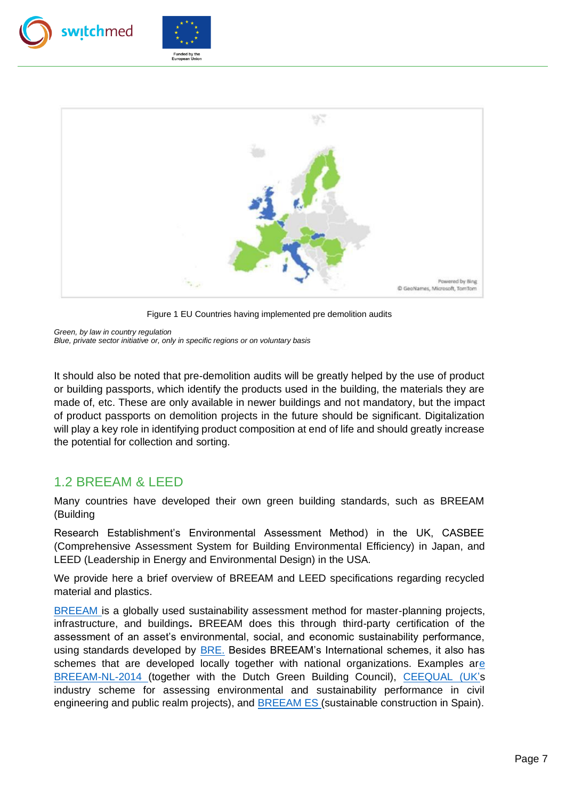





Figure 1 EU Countries having implemented pre demolition audits

<span id="page-6-1"></span>*Green, by law in country regulation*

*Blue, private sector initiative or, only in specific regions or on voluntary basis*

It should also be noted that pre-demolition audits will be greatly helped by the use of product or building passports, which identify the products used in the building, the materials they are made of, etc. These are only available in newer buildings and not mandatory, but the impact of product passports on demolition projects in the future should be significant. Digitalization will play a key role in identifying product composition at end of life and should greatly increase the potential for collection and sorting.

## <span id="page-6-0"></span>1.2 BREEAM & LEED

Many countries have developed their own green building standards, such as BREEAM (Building

Research Establishment's Environmental Assessment Method) in the UK, CASBEE (Comprehensive Assessment System for Building Environmental Efficiency) in Japan, and LEED (Leadership in Energy and Environmental Design) in the USA.

We provide here a brief overview of BREEAM and LEED specifications regarding recycled material and plastics.

[BREEAM](https://www.breeam.com/) [i](https://www.breeam.com/)s a globally used sustainability assessment method for master-planning projects, infrastructure, and buildings**.** BREEAM does this through third-party certification of the assessment of an asset's environmental, social, and economic sustainability performance, using standards developed by [BRE.](https://www.bregroup.com/) Besides BREEAM's International schemes, it also has schemes that are developed locally together with national organizations. Examples a[re](https://richtlijn.breeam.nl/1-inleiding-12)  [BREEAM-NL-2014](https://richtlijn.breeam.nl/1-inleiding-12) (together with the Dutch Green Building Council), [CEEQUAL](https://www.ceequal.com/) [\(UK's](https://en.wikipedia.org/wiki/UK) industry scheme for assessing environmental and sustainability performance in civil engineering and public realm projects), and [BREEAM ES](https://breeam.es/) [\(](https://breeam.es/)sustainable construction in Spain).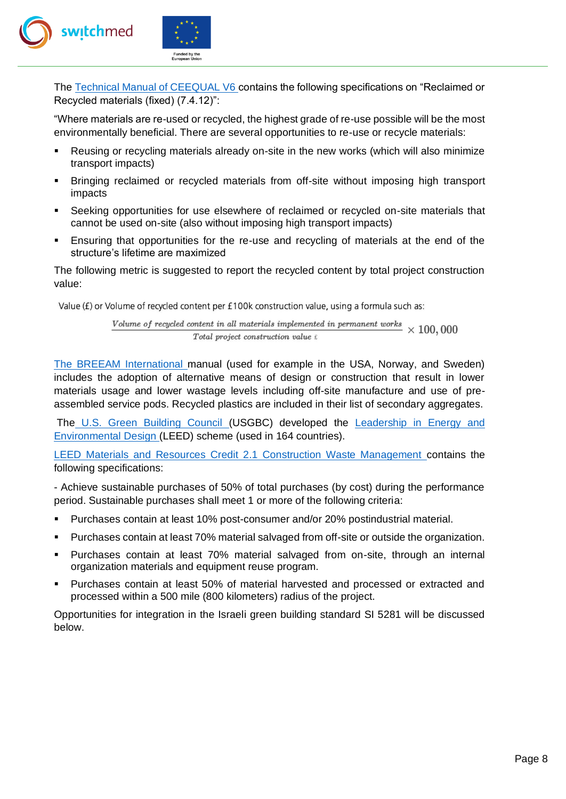

The [Technical Manual of CEEQUAL V6](https://www.ceequal.com/download/10281/) [c](https://www.ceequal.com/download/10281/)ontains the following specifications on "Reclaimed or Recycled materials (fixed) (7.4.12)":

"Where materials are re-used or recycled, the highest grade of re-use possible will be the most environmentally beneficial. There are several opportunities to re-use or recycle materials:

- Reusing or recycling materials already on-site in the new works (which will also minimize transport impacts)
- Bringing reclaimed or recycled materials from off-site without imposing high transport impacts
- Seeking opportunities for use elsewhere of reclaimed or recycled on-site materials that cannot be used on-site (also without imposing high transport impacts)
- **Ensuring that opportunities for the re-use and recycling of materials at the end of the** structure's lifetime are maximized

The following metric is suggested to report the recycled content by total project construction value:

Value (£) or Volume of recycled content per £100k construction value, using a formula such as:

Volume of recycled content in all materials implemented in permanent works  $\times 100,000$  $Total project construction value f$ 

[The BREEAM International](https://www.breeam.com/BREEAMInt2016SchemeDocument/#resources/output/10_pdf/a4_pdf/nc_pdf_printing/sd233_nc_int_2016_print.pdf) manual (used for example in the USA, Norway, and Sweden) includes the adoption of alternative means of design or construction that result in lower materials usage and lower wastage levels including off-site manufacture and use of preassembled service pods. Recycled plastics are included in their list of secondary aggregates.

Th[e](https://en.wikipedia.org/wiki/U.S._Green_Building_Council) [U.S. Green Building Council](https://en.wikipedia.org/wiki/U.S._Green_Building_Council) (USGBC) developed the Leadership in Energy and [Environmental](https://en.wikipedia.org/wiki/Leadership_in_Energy_and_Environmental_Design) [Design](https://en.wikipedia.org/wiki/Leadership_in_Energy_and_Environmental_Design) [\(](https://en.wikipedia.org/wiki/Leadership_in_Energy_and_Environmental_Design)LEED) scheme (used in 164 countries).

[LEED Materials and Resources Credit 2.1 Construction Waste Management](https://www.usgbc.org/credits/mr21) contains the following specifications:

- Achieve sustainable purchases of 50% of total purchases (by cost) during the performance period. Sustainable purchases shall meet 1 or more of the following criteria:

- Purchases contain at least 10% post-consumer and/or 20% postindustrial material.
- **Purchases contain at least 70% material salvaged from off-site or outside the organization.**
- Purchases contain at least 70% material salvaged from on-site, through an internal organization materials and equipment reuse program.
- Purchases contain at least 50% of material harvested and processed or extracted and processed within a 500 mile (800 kilometers) radius of the project.

Opportunities for integration in the Israeli green building standard SI 5281 will be discussed below.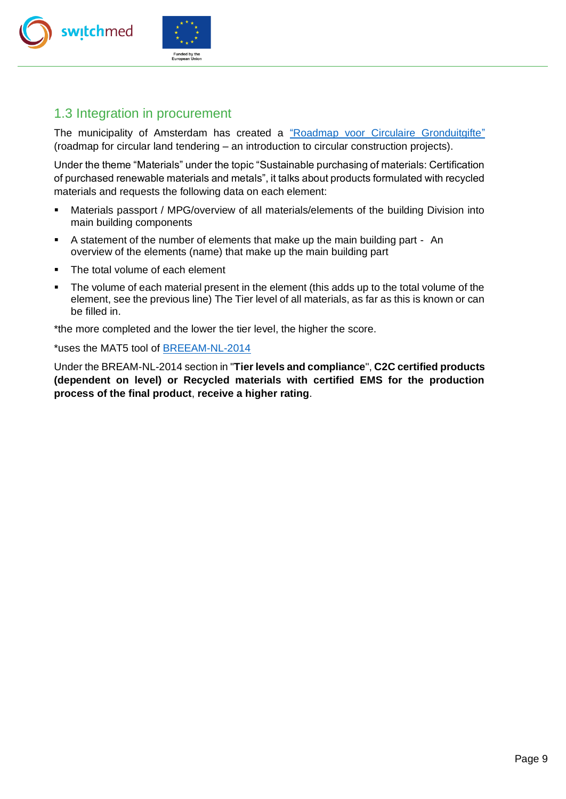



# <span id="page-8-0"></span>1.3 Integration in procurement

The municipality of Amsterdam has created a ["Roadmap voor Circulaire Gronduitgifte"](https://www.dgbc.nl/upload/files/Circulariteit/roadmap_circulaire_gronduitgifte_def_gemeente_amsterdam.pdf) (roadmap for circular land tendering – an introduction to circular construction projects).

Under the theme "Materials" under the topic "Sustainable purchasing of materials: Certification of purchased renewable materials and metals", it talks about products formulated with recycled materials and requests the following data on each element:

- **■** Materials passport / MPG/overview of all materials/elements of the building Division into main building components
- A statement of the number of elements that make up the main building part An overview of the elements (name) that make up the main building part
- The total volume of each element
- The volume of each material present in the element (this adds up to the total volume of the element, see the previous line) The Tier level of all materials, as far as this is known or can be filled in.

\*the more completed and the lower the tier level, the higher the score.

\*uses the MAT5 tool of [BREEAM-NL-2014](https://richtlijn.breeam.nl/1-inleiding-12)

Under the BREAM-NL-2014 section in "**Tier levels and compliance**", **C2C certified products (dependent on level) or Recycled materials with certified EMS for the production process of the final product**, **receive a higher rating**.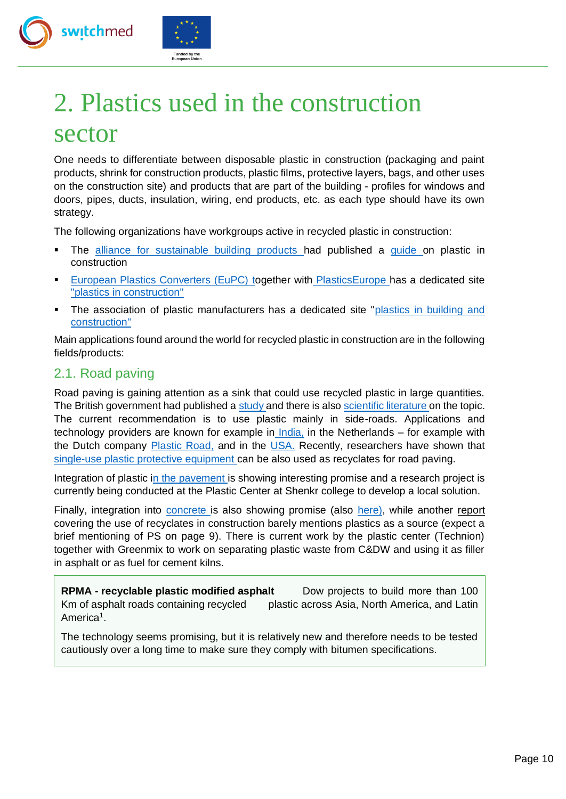



# <span id="page-9-0"></span>2. Plastics used in the construction

# sector

One needs to differentiate between disposable plastic in construction (packaging and paint products, shrink for construction products, plastic films, protective layers, bags, and other uses on the construction site) and products that are part of the building - profiles for windows and doors, pipes, ducts, insulation, wiring, end products, etc. as each type should have its own strategy.

The following organizations have workgroups active in recycled plastic in construction:

- The [alliance for sustainable building products](https://asbp.org.uk/group/plastics-in-construction) [h](https://asbp.org.uk/group/plastics-in-construction)ad published a [guide](https://asbp.org.uk/asbp-news/plastics-intro-guide) on plastic in construction
- [European Plastics Converters \(EuPC\)](http://www.plasticsconverters.eu/) [to](http://www.plasticsconverters.eu/)gether with [PlasticsEurope](http://www.plasticseurope.org/) has a dedicated site ["plastics in construction"](http://www.plasticsinconstruction.com/)
- The association of plastic manufacturers has a dedicated site ["plastics in building and](https://www.plasticseurope.org/en/about-plastics/building-construction) [construction"](https://www.plasticseurope.org/en/about-plastics/building-construction)

Main applications found around the world for recycled plastic in construction are in the following fields/products:

# <span id="page-9-1"></span>2.1. Road paving

Road paving is gaining attention as a sink that could use recycled plastic in large quantities. The British government had published a [study](https://www.gov.uk/research-for-development-outputs/using-waste-plastics-in-road-construction#abstract) and there is also [scientific literature](https://www.mdpi.com/2071-1050/12/20/8594) on the topic. The current recommendation is to use plastic mainly in side-roads. Applications and tech[n](https://www.worldhighways.com/wh6/feature/bangalore-dumfries-plastic-waste-technology-reinforcing-our-roads)ology providers are known for example in *India*, in the Netherlands – for example with the Dutch company [Plastic Road,](https://plasticroad.com/en) and in the [USA.](https://technisoilind.com/index.html) Recently, researchers have shown that [single-use plastic protective equipment](https://www.sciencedirect.com/science/article/pii/S0048969721005957) can be also used as recyclates for road paving.

Integration of plastic [in the pavement](https://www.revistaespacios.com/a20v41n21/a20v41n21p24.pdf) is showing interesting promise and a research project is currently being conducted at the Plastic Center at Shenkr college to develop a local solution.

Finally, integration into [concrete](https://www.researchgate.net/publication/336114381_Utilization_of_Waste_Plastic_in_Concrete) [i](https://www.researchgate.net/publication/336114381_Utilization_of_Waste_Plastic_in_Concrete)s also showing promise (also [here\),](https://www.weforum.org/agenda/2020/12/co2-can-help-the-construction-industry-thrive-heres-how/) while another report covering the use of recyclates in construction barely mentions plastics as a source (expect a brief mentioning of PS on page 9). There is current work by the plastic center (Technion) together with Greenmix to work on separating plastic waste from C&DW and using it as filler in asphalt or as fuel for cement kilns.

**RPMA - recyclable plastic modified asphalt** Dow projects to build more than 100 Km of asphalt roads containing recycled plastic across Asia, North America, and Latin America<sup>1</sup>.

The technology seems promising, but it is relatively new and therefore needs to be tested cautiously over a long time to make sure they comply with bitumen specifications.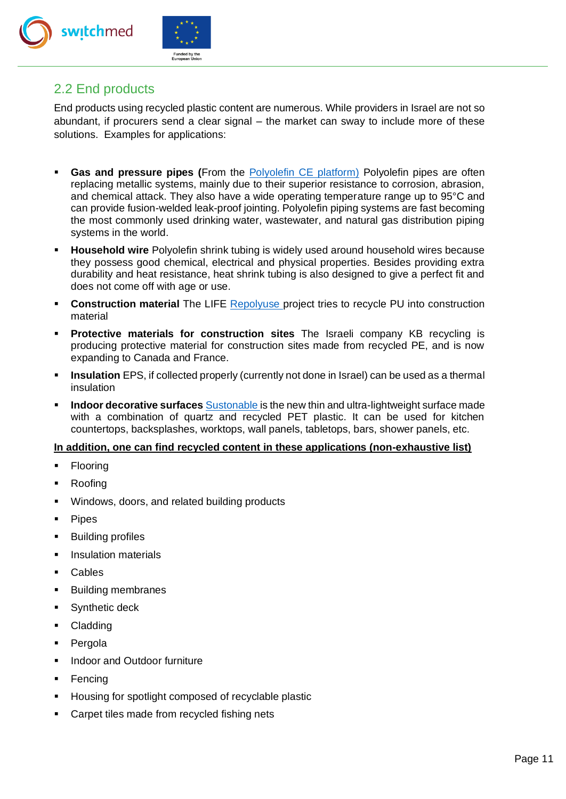



## <span id="page-10-0"></span>2.2 End products

End products using recycled plastic content are numerous. While providers in Israel are not so abundant, if procurers send a clear signal – the market can sway to include more of these solutions. Examples for applications:

- **Gas and pressure pipes (From the [Polyolefin CE platform\)](https://pcep.eu/circular-polyolefins) Polyolefin pipes are often** replacing metallic systems, mainly due to their superior resistance to corrosion, abrasion, and chemical attack. They also have a wide operating temperature range up to 95°C and can provide fusion-welded leak-proof jointing. Polyolefin piping systems are fast becoming the most commonly used drinking water, wastewater, and natural gas distribution piping systems in the world.
- **E** Household wire Polyolefin shrink tubing is widely used around household wires because they possess good chemical, electrical and physical properties. Besides providing extra durability and heat resistance, heat shrink tubing is also designed to give a perfect fit and does not come off with age or use.
- **Construction material** The LIFE [Repolyuse](https://life-repolyuse.com/en/) project tries to recycle PU into construction material
- **Protective materials for construction sites** The Israeli company KB recycling is producing protective material for construction sites made from recycled PE, and is now expanding to Canada and France.
- **EXECT Insulation EPS, if collected properly (currently not done in Israel) can be used as a thermal** insulation
- **Indoor decorat[i](https://www.sustonable.com/)ve surfaces** [Sustonable](https://www.sustonable.com/) is the new thin and ultra-lightweight surface made with a combination of quartz and recycled PET plastic. It can be used for kitchen countertops, backsplashes, worktops, wall panels, tabletops, bars, shower panels, etc.

#### **In addition, one can find recycled content in these applications (non-exhaustive list)**

- **Flooring**
- Roofing
- Windows, doors, and related building products
- Pipes
- Building profiles
- **Insulation materials**
- Cables
- Building membranes
- Synthetic deck
- Cladding
- Pergola
- Indoor and Outdoor furniture
- Fencing
- Housing for spotlight composed of recyclable plastic
- Carpet tiles made from recycled fishing nets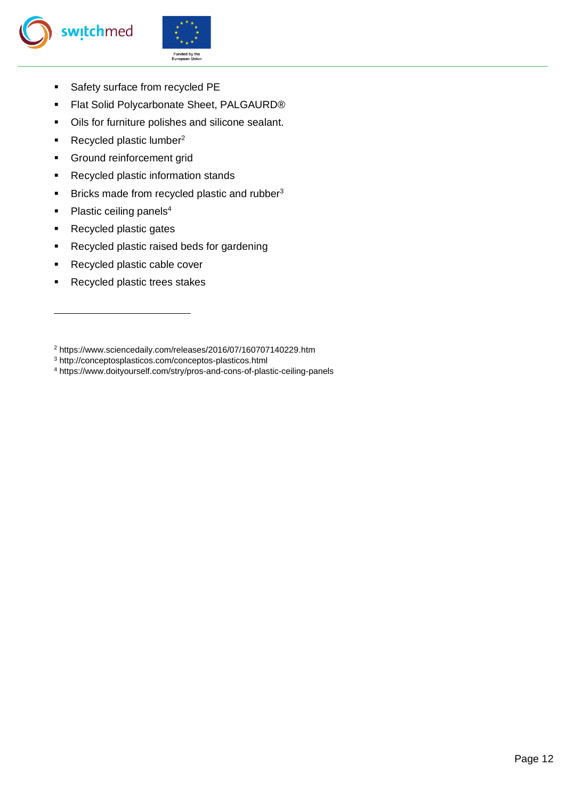



- Safety surface from recycled PE
- Flat Solid Polycarbonate Sheet, PALGAURD<sup>®</sup>
- Oils for furniture polishes and silicone sealant.
- Recycled plastic lumber<sup>2</sup>
- **•** Ground reinforcement grid
- Recycled plastic information stands
- **EXECUTE:** Bricks made from recycled plastic and rubber<sup>3</sup>
- $\blacksquare$  Plastic ceiling panels<sup>4</sup>
- Recycled plastic gates
- Recycled plastic raised beds for gardening
- Recycled plastic cable cover
- Recycled plastic trees stakes

<sup>2</sup> https://www.sciencedaily.com/releases/2016/07/160707140229.htm

<sup>3</sup> http://conceptosplasticos.com/conceptos-plasticos.html

<sup>4</sup> https://www.doityourself.com/stry/pros-and-cons-of-plastic-ceiling-panels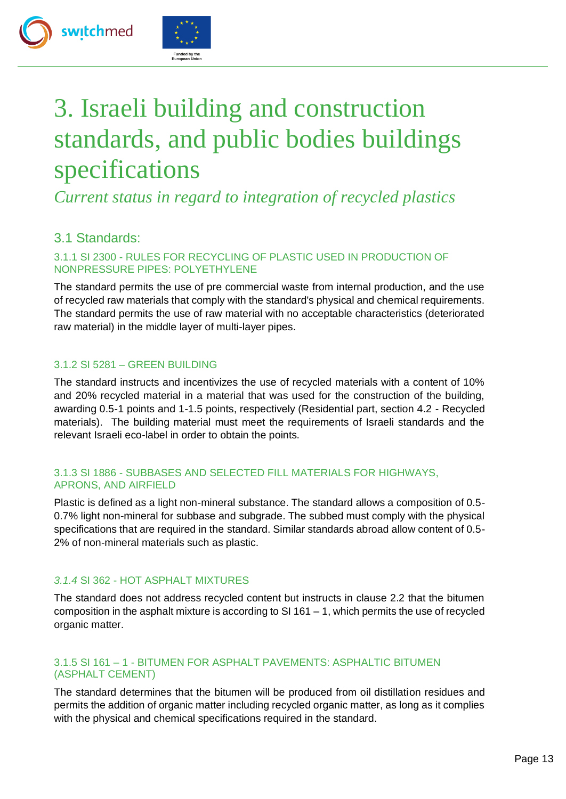

# <span id="page-12-0"></span>3. Israeli building and construction standards, and public bodies buildings specifications

*Current status in regard to integration of recycled plastics* 

# <span id="page-12-1"></span>3.1 Standards:

switchmed

#### 3.1.1 SI 2300 - RULES FOR RECYCLING OF PLASTIC USED IN PRODUCTION OF NONPRESSURE PIPES: POLYETHYLENE

The standard permits the use of pre commercial waste from internal production, and the use of recycled raw materials that comply with the standard's physical and chemical requirements. The standard permits the use of raw material with no acceptable characteristics (deteriorated raw material) in the middle layer of multi-layer pipes.

#### 3.1.2 SI 5281 – GREEN BUILDING

The standard instructs and incentivizes the use of recycled materials with a content of 10% and 20% recycled material in a material that was used for the construction of the building, awarding 0.5-1 points and 1-1.5 points, respectively (Residential part, section 4.2 - Recycled materials). The building material must meet the requirements of Israeli standards and the relevant Israeli eco-label in order to obtain the points.

#### 3.1.3 SI 1886 - SUBBASES AND SELECTED FILL MATERIALS FOR HIGHWAYS, APRONS, AND AIRFIELD

Plastic is defined as a light non-mineral substance. The standard allows a composition of 0.5- 0.7% light non-mineral for subbase and subgrade. The subbed must comply with the physical specifications that are required in the standard. Similar standards abroad allow content of 0.5- 2% of non-mineral materials such as plastic.

#### *3.1.4* SI 362 - HOT ASPHALT MIXTURES

The standard does not address recycled content but instructs in clause 2.2 that the bitumen composition in the asphalt mixture is according to SI 161 – 1, which permits the use of recycled organic matter.

#### 3.1.5 SI 161 – 1 - BITUMEN FOR ASPHALT PAVEMENTS: ASPHALTIC BITUMEN (ASPHALT CEMENT)

The standard determines that the bitumen will be produced from oil distillation residues and permits the addition of organic matter including recycled organic matter, as long as it complies with the physical and chemical specifications required in the standard.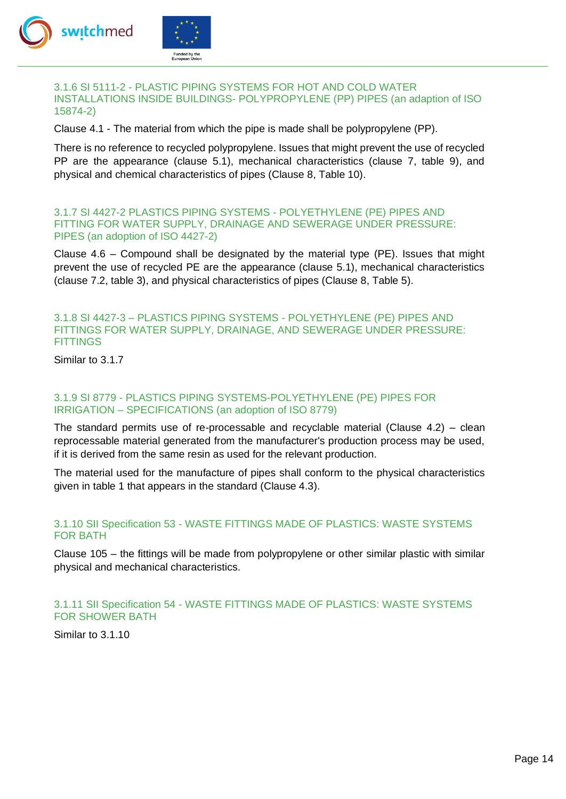

#### 3.1.6 SI 5111-2 - PLASTIC PIPING SYSTEMS FOR HOT AND COLD WATER INSTALLATIONS INSIDE BUILDINGS- POLYPROPYLENE (PP) PIPES (an adaption of ISO 15874-2)

Clause 4.1 - The material from which the pipe is made shall be polypropylene (PP).

There is no reference to recycled polypropylene. Issues that might prevent the use of recycled PP are the appearance (clause 5.1), mechanical characteristics (clause 7, table 9), and physical and chemical characteristics of pipes (Clause 8, Table 10).

#### 3.1.7 SI 4427-2 PLASTICS PIPING SYSTEMS - POLYETHYLENE (PE) PIPES AND FITTING FOR WATER SUPPLY, DRAINAGE AND SEWERAGE UNDER PRESSURE: PIPES (an adoption of ISO 4427-2)

Clause 4.6 – Compound shall be designated by the material type (PE). Issues that might prevent the use of recycled PE are the appearance (clause 5.1), mechanical characteristics (clause 7.2, table 3), and physical characteristics of pipes (Clause 8, Table 5).

#### 3.1.8 SI 4427-3 – PLASTICS PIPING SYSTEMS - POLYETHYLENE (PE) PIPES AND FITTINGS FOR WATER SUPPLY, DRAINAGE, AND SEWERAGE UNDER PRESSURE: **FITTINGS**

Similar to 3.1.7

#### 3.1.9 SI 8779 - PLASTICS PIPING SYSTEMS-POLYETHYLENE (PE) PIPES FOR IRRIGATION – SPECIFICATIONS (an adoption of ISO 8779)

The standard permits use of re-processable and recyclable material (Clause  $4.2$ ) – clean reprocessable material generated from the manufacturer's production process may be used, if it is derived from the same resin as used for the relevant production.

The material used for the manufacture of pipes shall conform to the physical characteristics given in table 1 that appears in the standard (Clause 4.3).

#### 3.1.10 SII Specification 53 - WASTE FITTINGS MADE OF PLASTICS: WASTE SYSTEMS FOR BATH

Clause 105 – the fittings will be made from polypropylene or other similar plastic with similar physical and mechanical characteristics.

#### 3.1.11 SII Specification 54 - WASTE FITTINGS MADE OF PLASTICS: WASTE SYSTEMS FOR SHOWER BATH

Similar to 3.1.10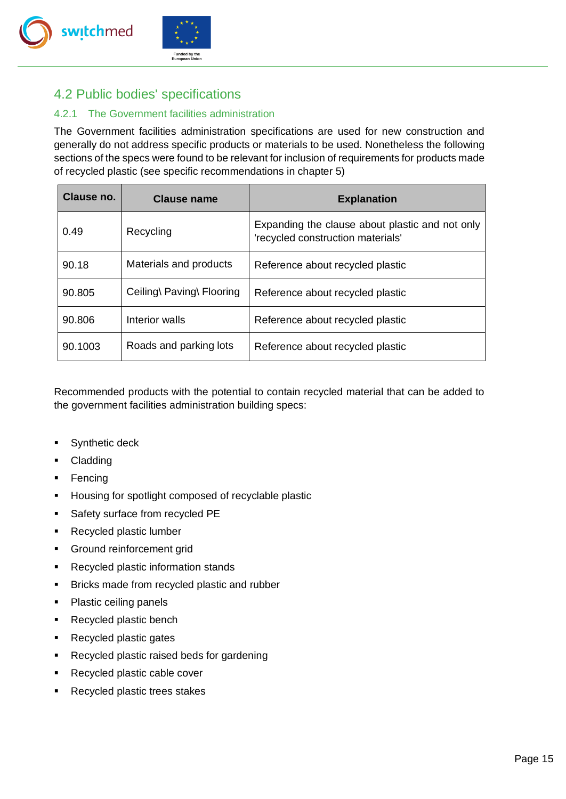



# <span id="page-14-0"></span>4.2 Public bodies' specifications

#### 4.2.1 The Government facilities administration

The Government facilities administration specifications are used for new construction and generally do not address specific products or materials to be used. Nonetheless the following sections of the specs were found to be relevant for inclusion of requirements for products made of recycled plastic (see specific recommendations in chapter 5)

| Clause no. | Clause name               | <b>Explanation</b>                                                                   |
|------------|---------------------------|--------------------------------------------------------------------------------------|
| 0.49       | Recycling                 | Expanding the clause about plastic and not only<br>'recycled construction materials' |
| 90.18      | Materials and products    | Reference about recycled plastic                                                     |
| 90.805     | Ceiling\ Paving\ Flooring | Reference about recycled plastic                                                     |
| 90.806     | Interior walls            | Reference about recycled plastic                                                     |
| 90.1003    | Roads and parking lots    | Reference about recycled plastic                                                     |

Recommended products with the potential to contain recycled material that can be added to the government facilities administration building specs:

- Synthetic deck
- Cladding
- Fencing
- Housing for spotlight composed of recyclable plastic
- Safety surface from recycled PE
- Recycled plastic lumber
- **•** Ground reinforcement grid
- Recycled plastic information stands
- Bricks made from recycled plastic and rubber
- Plastic ceiling panels
- Recycled plastic bench
- Recycled plastic gates
- Recycled plastic raised beds for gardening
- Recycled plastic cable cover
- Recycled plastic trees stakes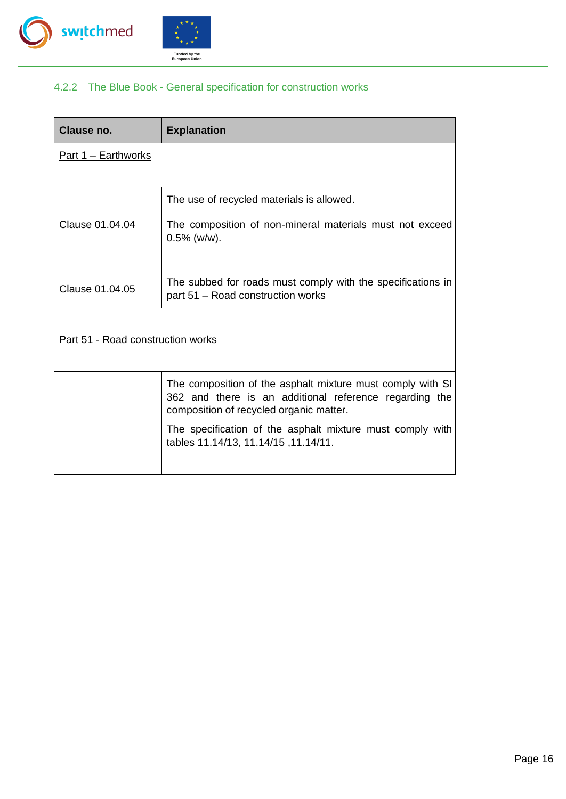



### 4.2.2 The Blue Book - General specification for construction works

| Clause no.                        | <b>Explanation</b>                                                                                                                                              |
|-----------------------------------|-----------------------------------------------------------------------------------------------------------------------------------------------------------------|
| <u> Part 1 – Earthworks</u>       |                                                                                                                                                                 |
| Clause 01.04.04                   | The use of recycled materials is allowed.<br>The composition of non-mineral materials must not exceed<br>$0.5\%$ (w/w).                                         |
| Clause 01.04.05                   | The subbed for roads must comply with the specifications in<br>part 51 – Road construction works                                                                |
| Part 51 - Road construction works |                                                                                                                                                                 |
|                                   | The composition of the asphalt mixture must comply with SI<br>362 and there is an additional reference regarding the<br>composition of recycled organic matter. |
|                                   | The specification of the asphalt mixture must comply with<br>tables 11.14/13, 11.14/15, 11.14/11.                                                               |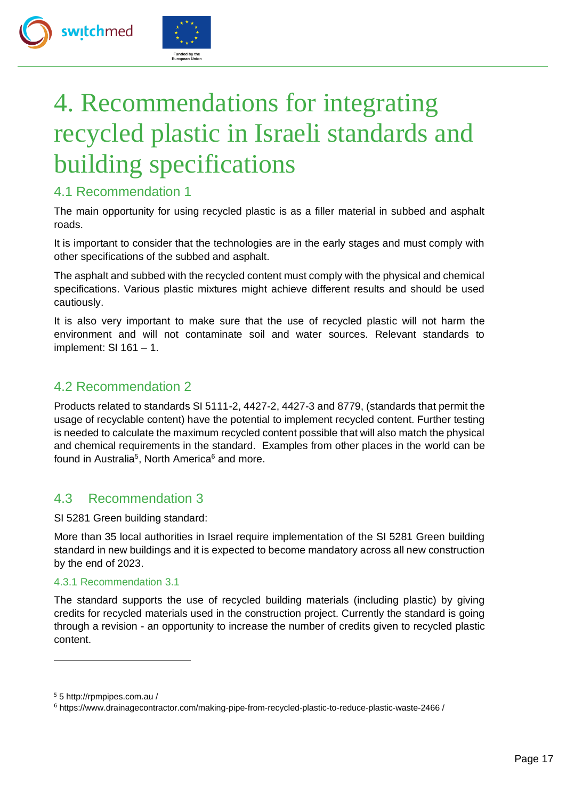



# <span id="page-16-0"></span>4. Recommendations for integrating recycled plastic in Israeli standards and building specifications

# 4.1 Recommendation 1

The main opportunity for using recycled plastic is as a filler material in subbed and asphalt roads.

It is important to consider that the technologies are in the early stages and must comply with other specifications of the subbed and asphalt.

The asphalt and subbed with the recycled content must comply with the physical and chemical specifications. Various plastic mixtures might achieve different results and should be used cautiously.

It is also very important to make sure that the use of recycled plastic will not harm the environment and will not contaminate soil and water sources. Relevant standards to implement: SI 161 – 1.

# 4.2 Recommendation 2

Products related to standards SI 5111-2, 4427-2, 4427-3 and 8779, (standards that permit the usage of recyclable content) have the potential to implement recycled content. Further testing is needed to calculate the maximum recycled content possible that will also match the physical and chemical requirements in the standard. Examples from other places in the world can be found in Australia<sup>5</sup>, North America<sup>6</sup> and more.

## 4.3 Recommendation 3

SI 5281 Green building standard:

More than 35 local authorities in Israel require implementation of the SI 5281 Green building standard in new buildings and it is expected to become mandatory across all new construction by the end of 2023.

#### 4.3.1 Recommendation 3.1

The standard supports the use of recycled building materials (including plastic) by giving credits for recycled materials used in the construction project. Currently the standard is going through a revision - an opportunity to increase the number of credits given to recycled plastic content.

<sup>5</sup> 5 http://rpmpipes.com.au /

<sup>6</sup> https://www.drainagecontractor.com/making-pipe-from-recycled-plastic-to-reduce-plastic-waste-2466 /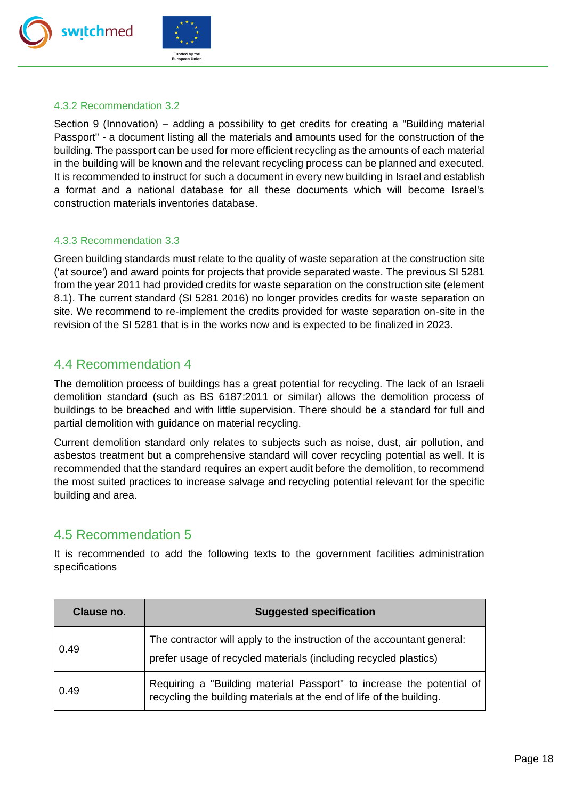



#### 4.3.2 Recommendation 3.2

Section 9 (Innovation) – adding a possibility to get credits for creating a "Building material Passport" - a document listing all the materials and amounts used for the construction of the building. The passport can be used for more efficient recycling as the amounts of each material in the building will be known and the relevant recycling process can be planned and executed. It is recommended to instruct for such a document in every new building in Israel and establish a format and a national database for all these documents which will become Israel's construction materials inventories database.

#### 4.3.3 Recommendation 3.3

Green building standards must relate to the quality of waste separation at the construction site ('at source') and award points for projects that provide separated waste. The previous SI 5281 from the year 2011 had provided credits for waste separation on the construction site (element 8.1). The current standard (SI 5281 2016) no longer provides credits for waste separation on site. We recommend to re-implement the credits provided for waste separation on-site in the revision of the SI 5281 that is in the works now and is expected to be finalized in 2023.

## 4.4 Recommendation 4

The demolition process of buildings has a great potential for recycling. The lack of an Israeli demolition standard (such as BS 6187:2011 or similar) allows the demolition process of buildings to be breached and with little supervision. There should be a standard for full and partial demolition with guidance on material recycling.

Current demolition standard only relates to subjects such as noise, dust, air pollution, and asbestos treatment but a comprehensive standard will cover recycling potential as well. It is recommended that the standard requires an expert audit before the demolition, to recommend the most suited practices to increase salvage and recycling potential relevant for the specific building and area.

## 4.5 Recommendation 5

It is recommended to add the following texts to the government facilities administration specifications

| Clause no. | <b>Suggested specification</b>                                                                                                                |
|------------|-----------------------------------------------------------------------------------------------------------------------------------------------|
| 0.49       | The contractor will apply to the instruction of the accountant general:<br>prefer usage of recycled materials (including recycled plastics)   |
| 0.49       | Requiring a "Building material Passport" to increase the potential of<br>recycling the building materials at the end of life of the building. |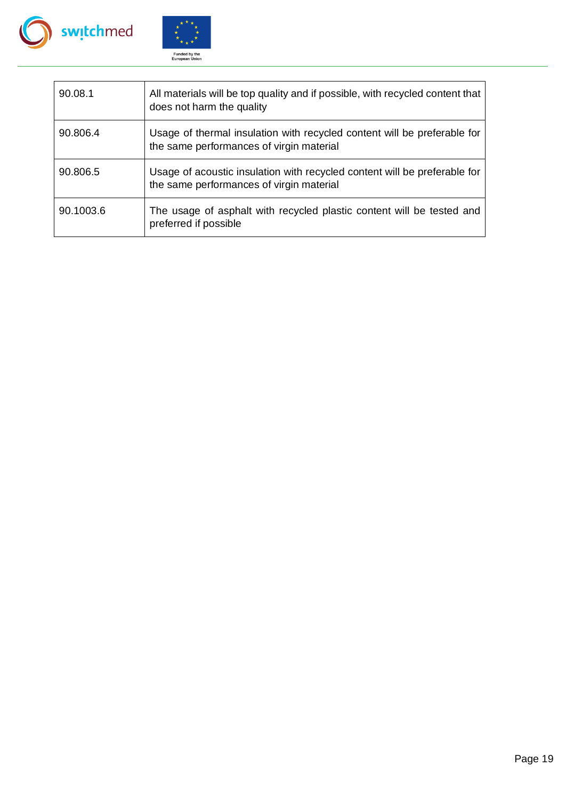



| 90.08.1   | All materials will be top quality and if possible, with recycled content that<br>does not harm the quality            |
|-----------|-----------------------------------------------------------------------------------------------------------------------|
| 90.806.4  | Usage of thermal insulation with recycled content will be preferable for<br>the same performances of virgin material  |
| 90.806.5  | Usage of acoustic insulation with recycled content will be preferable for<br>the same performances of virgin material |
| 90.1003.6 | The usage of asphalt with recycled plastic content will be tested and<br>preferred if possible                        |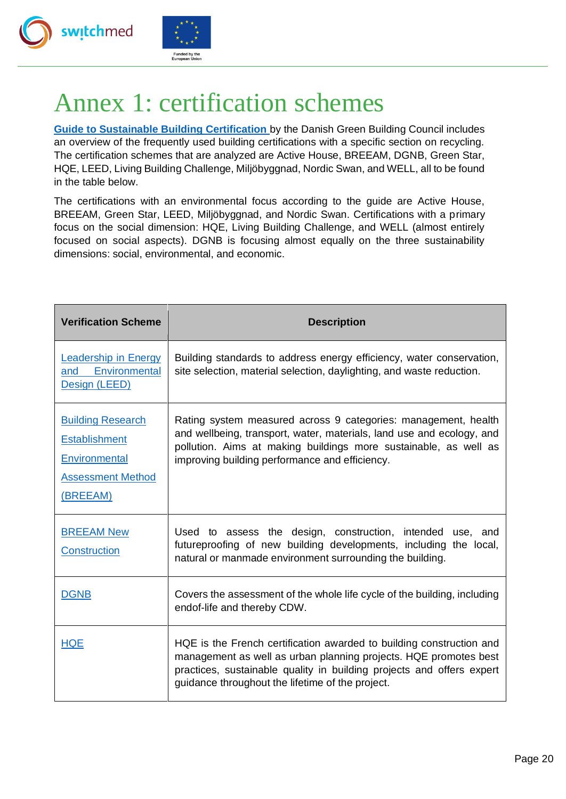



# <span id="page-19-0"></span>Annex 1: certification schemes

**[Guide to Sustainable Building Certification](https://sbi.dk/Assets/Guide-to-sustainable-building-certifications/Guide-to-sustainable-building-certifications-August-2018-e-bog.pdf)** by the Danish Green Building Council includes an overview of the frequently used building certifications with a specific section on recycling. The certification schemes that are analyzed are Active House, BREEAM, DGNB, Green Star, HQE, LEED, Living Building Challenge, Miljöbyggnad, Nordic Swan, and WELL, all to be found in the table below.

The certifications with an environmental focus according to the guide are Active House, BREEAM, Green Star, LEED, Miljöbyggnad, and Nordic Swan. Certifications with a primary focus on the social dimension: HQE, Living Building Challenge, and WELL (almost entirely focused on social aspects). DGNB is focusing almost equally on the three sustainability dimensions: social, environmental, and economic.

| <b>Verification Scheme</b>                                                                                | <b>Description</b>                                                                                                                                                                                                                                                    |
|-----------------------------------------------------------------------------------------------------------|-----------------------------------------------------------------------------------------------------------------------------------------------------------------------------------------------------------------------------------------------------------------------|
| <b>Leadership in Energy</b><br>Environmental<br>and<br>Design (LEED)                                      | Building standards to address energy efficiency, water conservation,<br>site selection, material selection, daylighting, and waste reduction.                                                                                                                         |
| <b>Building Research</b><br><b>Establishment</b><br>Environmental<br><b>Assessment Method</b><br>(BREEAM) | Rating system measured across 9 categories: management, health<br>and wellbeing, transport, water, materials, land use and ecology, and<br>pollution. Aims at making buildings more sustainable, as well as<br>improving building performance and efficiency.         |
| <b>BREEAM New</b><br><b>Construction</b>                                                                  | Used to assess the design, construction, intended use, and<br>futureproofing of new building developments, including the local,<br>natural or manmade environment surrounding the building.                                                                           |
| <b>DGNB</b>                                                                                               | Covers the assessment of the whole life cycle of the building, including<br>endof-life and thereby CDW.                                                                                                                                                               |
| <b>HQE</b>                                                                                                | HQE is the French certification awarded to building construction and<br>management as well as urban planning projects. HQE promotes best<br>practices, sustainable quality in building projects and offers expert<br>guidance throughout the lifetime of the project. |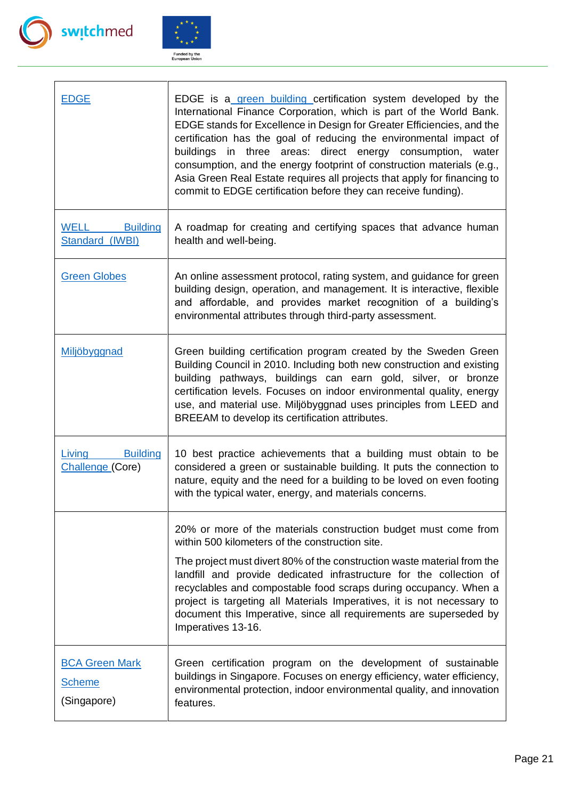



| EDGE                                                  | EDGE is a green building certification system developed by the<br>International Finance Corporation, which is part of the World Bank.<br>EDGE stands for Excellence in Design for Greater Efficiencies, and the<br>certification has the goal of reducing the environmental impact of<br>buildings in three areas: direct energy consumption, water<br>consumption, and the energy footprint of construction materials (e.g.,<br>Asia Green Real Estate requires all projects that apply for financing to<br>commit to EDGE certification before they can receive funding). |
|-------------------------------------------------------|-----------------------------------------------------------------------------------------------------------------------------------------------------------------------------------------------------------------------------------------------------------------------------------------------------------------------------------------------------------------------------------------------------------------------------------------------------------------------------------------------------------------------------------------------------------------------------|
| <b>WELL</b><br><b>Building</b><br>Standard (IWBI)     | A roadmap for creating and certifying spaces that advance human<br>health and well-being.                                                                                                                                                                                                                                                                                                                                                                                                                                                                                   |
| <b>Green Globes</b>                                   | An online assessment protocol, rating system, and guidance for green<br>building design, operation, and management. It is interactive, flexible<br>and affordable, and provides market recognition of a building's<br>environmental attributes through third-party assessment.                                                                                                                                                                                                                                                                                              |
| <u>Miljöbyggnad</u>                                   | Green building certification program created by the Sweden Green<br>Building Council in 2010. Including both new construction and existing<br>building pathways, buildings can earn gold, silver, or bronze<br>certification levels. Focuses on indoor environmental quality, energy<br>use, and material use. Miljöbyggnad uses principles from LEED and<br>BREEAM to develop its certification attributes.                                                                                                                                                                |
| <b>Building</b><br>Living<br>Challenge (Core)         | 10 best practice achievements that a building must obtain to be<br>considered a green or sustainable building. It puts the connection to<br>nature, equity and the need for a building to be loved on even footing<br>with the typical water, energy, and materials concerns.                                                                                                                                                                                                                                                                                               |
|                                                       | 20% or more of the materials construction budget must come from<br>within 500 kilometers of the construction site.<br>The project must divert 80% of the construction waste material from the<br>landfill and provide dedicated infrastructure for the collection of<br>recyclables and compostable food scraps during occupancy. When a<br>project is targeting all Materials Imperatives, it is not necessary to<br>document this Imperative, since all requirements are superseded by<br>Imperatives 13-16.                                                              |
| <b>BCA Green Mark</b><br><b>Scheme</b><br>(Singapore) | Green certification program on the development of sustainable<br>buildings in Singapore. Focuses on energy efficiency, water efficiency,<br>environmental protection, indoor environmental quality, and innovation<br>features.                                                                                                                                                                                                                                                                                                                                             |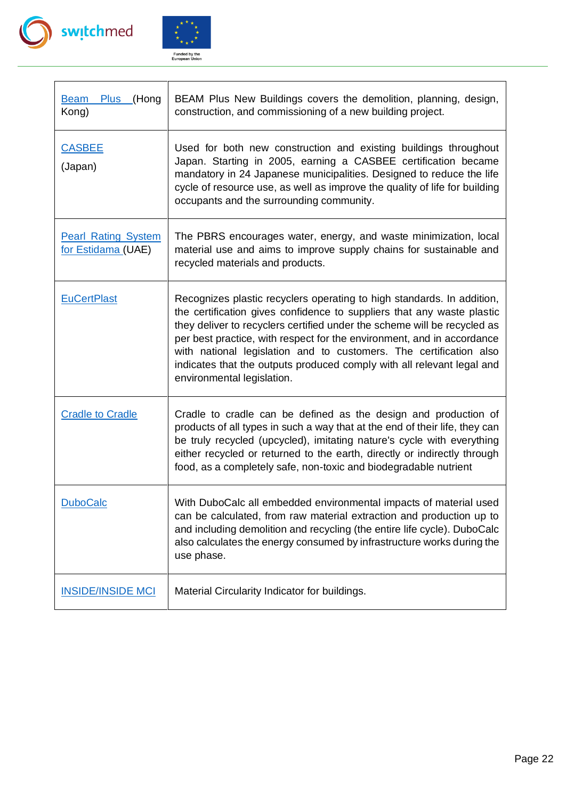

 $\mathbf{r}$ 



| <b>Plus</b><br>(Hong<br><b>Beam</b><br>Kong)     | BEAM Plus New Buildings covers the demolition, planning, design,<br>construction, and commissioning of a new building project.                                                                                                                                                                                                                                                                                                                                                       |
|--------------------------------------------------|--------------------------------------------------------------------------------------------------------------------------------------------------------------------------------------------------------------------------------------------------------------------------------------------------------------------------------------------------------------------------------------------------------------------------------------------------------------------------------------|
| <u>CASBEE</u><br>(Japan)                         | Used for both new construction and existing buildings throughout<br>Japan. Starting in 2005, earning a CASBEE certification became<br>mandatory in 24 Japanese municipalities. Designed to reduce the life<br>cycle of resource use, as well as improve the quality of life for building<br>occupants and the surrounding community.                                                                                                                                                 |
| <b>Pearl Rating System</b><br>for Estidama (UAE) | The PBRS encourages water, energy, and waste minimization, local<br>material use and aims to improve supply chains for sustainable and<br>recycled materials and products.                                                                                                                                                                                                                                                                                                           |
| <b>EuCertPlast</b>                               | Recognizes plastic recyclers operating to high standards. In addition,<br>the certification gives confidence to suppliers that any waste plastic<br>they deliver to recyclers certified under the scheme will be recycled as<br>per best practice, with respect for the environment, and in accordance<br>with national legislation and to customers. The certification also<br>indicates that the outputs produced comply with all relevant legal and<br>environmental legislation. |
| <b>Cradle to Cradle</b>                          | Cradle to cradle can be defined as the design and production of<br>products of all types in such a way that at the end of their life, they can<br>be truly recycled (upcycled), imitating nature's cycle with everything<br>either recycled or returned to the earth, directly or indirectly through<br>food, as a completely safe, non-toxic and biodegradable nutrient                                                                                                             |
| <b>DuboCalc</b>                                  | With DuboCalc all embedded environmental impacts of material used<br>can be calculated, from raw material extraction and production up to<br>and including demolition and recycling (the entire life cycle). DuboCalc<br>also calculates the energy consumed by infrastructure works during the<br>use phase.                                                                                                                                                                        |
| <b>INSIDE/INSIDE MCI</b>                         | Material Circularity Indicator for buildings.                                                                                                                                                                                                                                                                                                                                                                                                                                        |

L,